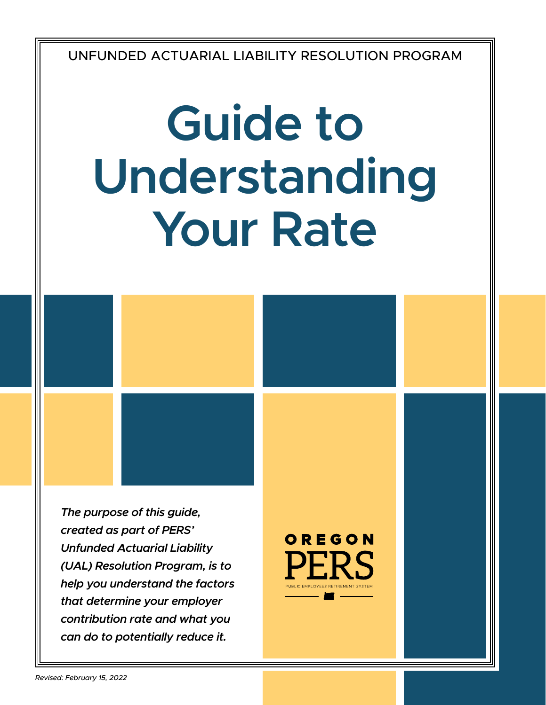UNFUNDED ACTUARIAL LIABILITY RESOLUTION PROGRAM

# **Guide to Understanding Your Rate**

*The purpose of this guide, created as part of PERS' Unfunded Actuarial Liability (UAL) Resolution Program, is to help you understand the factors that determine your employer contribution rate and what you can do to potentially reduce it.*

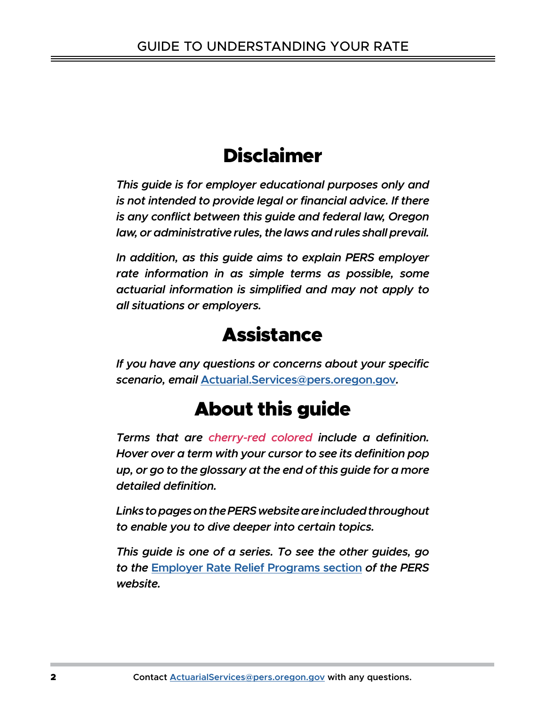# Disclaimer

*This guide is for employer educational purposes only and is not intended to provide legal or financial advice. If there is any conflict between this guide and federal law, Oregon law, or administrative rules, the laws and rules shall prevail.* 

*In addition, as this guide aims to explain PERS employer rate information in as simple terms as possible, some actuarial information is simplified and may not apply to all situations or employers.*

# **Assistance**

*If you have any questions or concerns about your specific scenario, email* **[Actuarial.Services@pers.](mailto:Actuarial.Services%40pers.oregon.gov?subject=)oregon.gov***.*

# About this guide

*Terms that are cherry-red colored include a definition. Hover over a term with your cursor to see its definition pop up, or go to the glossary at the end of this guide for a more detailed definition.* 

*Links to pages on the PERS website are included throughout to enable you to dive deeper into certain topics.* 

*This guide is one of a series. To see the other guides, go to the* **[Employer Rate Relief Programs section](https://www.oregon.gov/pers/EMP/Pages/Employer-Rate-Relief-Programs.aspx)** *of the PERS website.*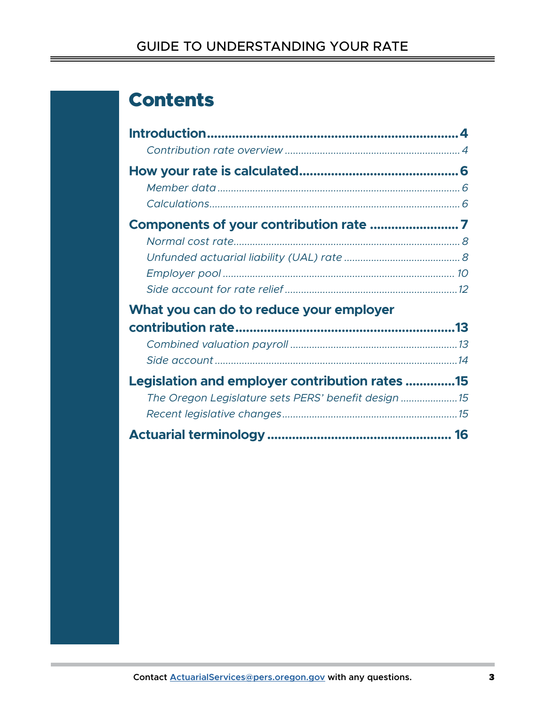# Contents

| What you can do to reduce your employer             |  |
|-----------------------------------------------------|--|
|                                                     |  |
|                                                     |  |
|                                                     |  |
| Legislation and employer contribution rates 15      |  |
| The Oregon Legislature sets PERS' benefit design 15 |  |
|                                                     |  |
|                                                     |  |
|                                                     |  |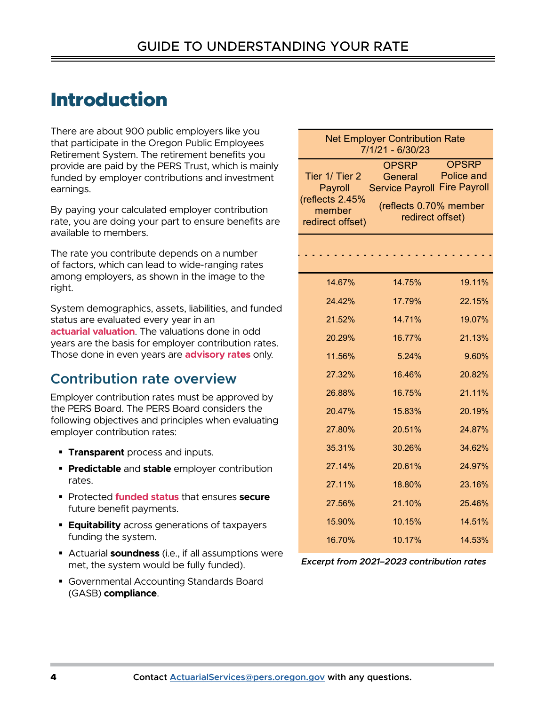# <span id="page-3-0"></span>**Introduction**

## **Contribution rate overview** 27.32% 16.46% 20.82%

- 
- **Predictable** and **stable** employer contribution **27.14%** 20.61% 24.97% rates.
- **Protectedfunded status that ensures secure** future benefit payments.  $\frac{27.56\%}{21.10\%}$  21.10% 25.46%
	- funding the system.
- Actuarial **soundness** (i.e., if all assumptions were met, the system would be fully funded). - Actuation **Sourioness** (i.e., if all assumptions were<br>met the system would be fully funded) **Excerpt from 2021–2023 contribution rates**
- **E** Governmental Accounting Standards Board **18.666 18.666 17.89% 18.88% 18.88% 18.842% 18.86% 17.89% 18.86% 17.89% 18.86% 18.86% 17.89% 18.86% 18.86% 18.86% 18.86% 17.89% 18.86% 18.86% 18.86% 18.86% 18.89% 18.86% 18.86% 1** (GASB) **compliance**. (GASB) **compliance**.

| There are about 900 public employers like you                                                                                                                                                                                                                        |                                              |                                                                |                                            |  |
|----------------------------------------------------------------------------------------------------------------------------------------------------------------------------------------------------------------------------------------------------------------------|----------------------------------------------|----------------------------------------------------------------|--------------------------------------------|--|
| that participate in the Oregon Public Employees<br>Retirement System. The retirement benefits you                                                                                                                                                                    |                                              | <b>Net Employer Contribution Rate</b><br>$7/1/21 - 6/30/23$    |                                            |  |
| provide are paid by the PERS Trust, which is mainly<br>funded by employer contributions and investment<br>earnings.                                                                                                                                                  | Tier 1/ Tier 2<br>Payroll<br>(reflects 2.45% | <b>OPSRP</b><br>General<br><b>Service Payroll Fire Payroll</b> | <b>OPSRP</b><br>Police and                 |  |
| By paying your calculated employer contribution<br>rate, you are doing your part to ensure benefits are<br>available to members.                                                                                                                                     | member<br>redirect offset)                   |                                                                | (reflects 0.70% member<br>redirect offset) |  |
| The rate you contribute depends on a number<br>of factors, which can lead to wide-ranging rates                                                                                                                                                                      |                                              |                                                                |                                            |  |
| among employers, as shown in the image to the<br>right.                                                                                                                                                                                                              | 14.67%                                       | 14.75%                                                         | 19.11%                                     |  |
|                                                                                                                                                                                                                                                                      | 24.42%                                       | 17.79%                                                         | 22.15%                                     |  |
| System demographics, assets, liabilities, and funded<br>status are evaluated every year in an<br>actuarial valuation. The valuations done in odd<br>years are the basis for employer contribution rates.<br>Those done in even years are <b>advisory rates</b> only. | 21.52%                                       | 14.71%                                                         | 19.07%                                     |  |
|                                                                                                                                                                                                                                                                      | 20.29%                                       | 16.77%                                                         | 21.13%                                     |  |
|                                                                                                                                                                                                                                                                      | 11.56%                                       | 5.24%                                                          | 9.60%                                      |  |
| <b>Contribution rate overview</b>                                                                                                                                                                                                                                    | 27.32%                                       | 16.46%                                                         | 20.82%                                     |  |
| Employer contribution rates must be approved by                                                                                                                                                                                                                      | 26.88%                                       | 16.75%                                                         | 21.11%                                     |  |
| the PERS Board. The PERS Board considers the<br>following objectives and principles when evaluating                                                                                                                                                                  | 20.47%                                       | 15.83%                                                         | 20.19%                                     |  |
| employer contribution rates:                                                                                                                                                                                                                                         | 27.80%                                       | 20.51%                                                         | 24.87%                                     |  |
| <b>Transparent</b> process and inputs.                                                                                                                                                                                                                               | 35.31%                                       | 30.26%                                                         | 34.62%                                     |  |
| <b>• Predictable</b> and stable employer contribution                                                                                                                                                                                                                | 27.14%                                       | 20.61%                                                         | 24.97%                                     |  |
| rates.                                                                                                                                                                                                                                                               | 27.11%                                       | 18.80%                                                         | 23.16%                                     |  |
| Protected funded status that ensures secure<br>future benefit payments.                                                                                                                                                                                              | 27.56%                                       | 21.10%                                                         | 25.46%                                     |  |
| <b>Equitability</b> across generations of taxpayers                                                                                                                                                                                                                  | 15.90%                                       | 10.15%                                                         | 14.51%                                     |  |
| funding the system.                                                                                                                                                                                                                                                  | 16.70%                                       | 10.17%                                                         | 14.53%                                     |  |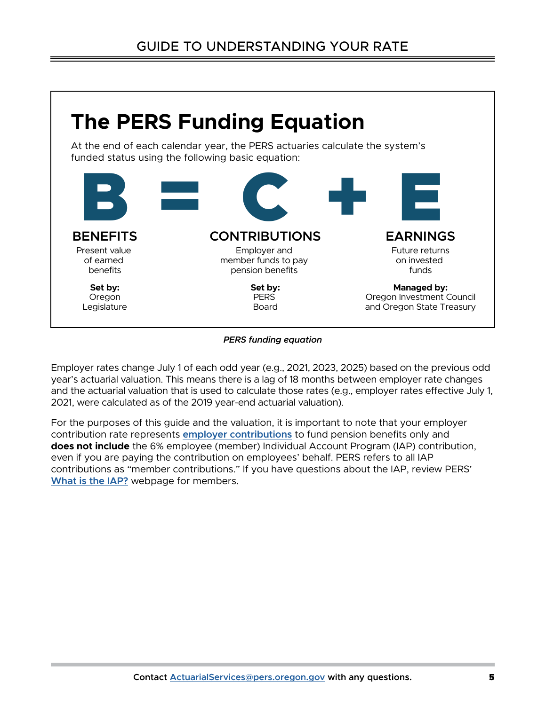

#### *PERS funding equation*

Employer rates change July 1 of each odd year (e.g., 2021, 2023, 2025) based on the previous odd year's actuarial valuation. This means there is a lag of 18 months between employer rate changes and the actuarial valuation that is used to calculate those rates (e.g., employer rates effective July 1, 2021, were calculated as of the 2019 year-end actuarial valuation).

For the purposes of this guide and the valuation, it is important to note that your employer contribution rate represents **[employer contributions](https://www.oregon.gov/pers/EMP/Pages/Contribution-Rates.aspx)** to fund pension benefits only and **does not include** the 6% employee (member) Individual Account Program (IAP) contribution, even if you are paying the contribution on employees' behalf. PERS refers to all IAP contributions as "member contributions." If you have questions about the IAP, review PERS' **[What is the IAP?](https://www.oregon.gov/pers/MEM/Pages/What-is-the-IAP.aspx)** webpage for members.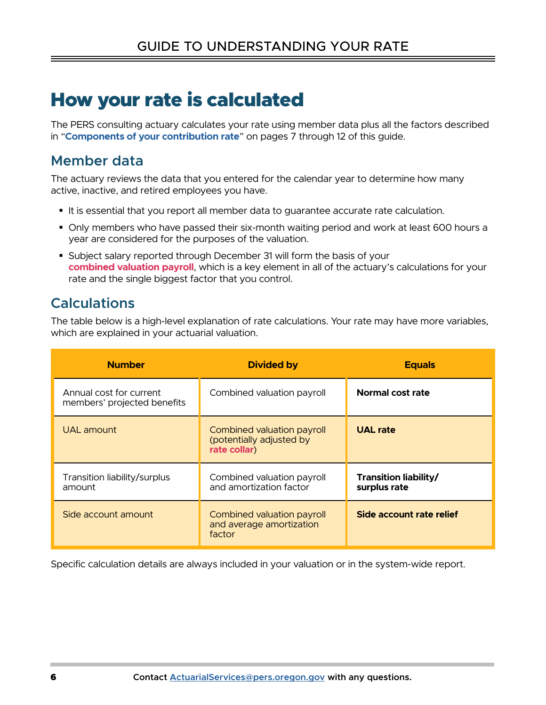# <span id="page-5-0"></span>How your rate is calculated

The PERS consulting actuary calculates your rate using member data plus all the factors described in "**[Components of your contribution rate](#page-6-1)**" on pages 7 through 12 of this guide.

### **Member data**

The actuary reviews the data that you entered for the calendar year to determine how many active, inactive, and retired employees you have.

- It is essential that you report all member data to guarantee accurate rate calculation.
- Only members who have passed their six-month waiting period and work at least 600 hours a year are considered for the purposes of the valuation.
- Subject salary reported through December 31 will form the basis of your [combined valuation payroll](#page-15-3), which is a key element in all of the actuary's calculations for your rate and the single biggest factor that you control.

### **Calculations**

The table below is a high-level explanation of rate calculations. Your rate may have more variables, which are explained in your actuarial valuation.

| <b>Number</b>                                          | <b>Divided by</b>                                                      | <b>Equals</b>                         |
|--------------------------------------------------------|------------------------------------------------------------------------|---------------------------------------|
| Annual cost for current<br>members' projected benefits | Combined valuation payroll                                             | Normal cost rate                      |
| UAL amount                                             | Combined valuation payroll<br>(potentially adjusted by<br>rate collar) | <b>UAL rate</b>                       |
| Transition liability/surplus<br>amount                 | Combined valuation payroll<br>and amortization factor                  | Transition liability/<br>surplus rate |
| Side account amount                                    | Combined valuation payroll<br>and average amortization<br>factor       | Side account rate relief              |

Specific calculation details are always included in your valuation or in the system-wide report.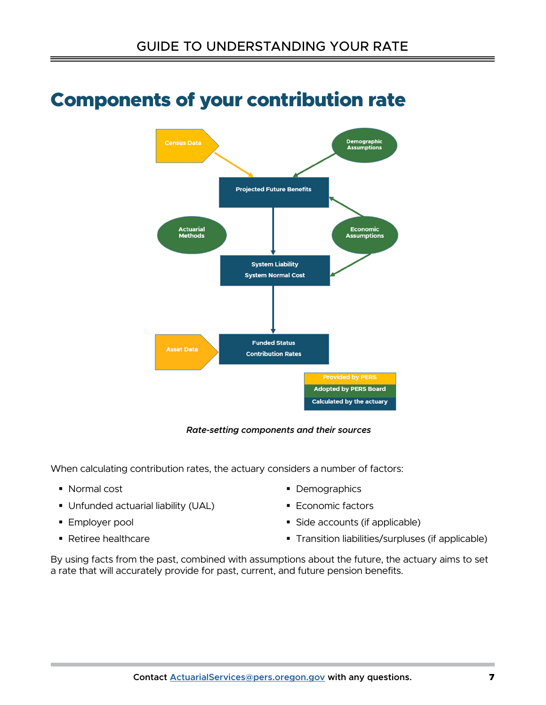

# <span id="page-6-1"></span><span id="page-6-0"></span>Components of your contribution rate

*Rate-setting components and their sources*

When calculating contribution rates, the actuary considers a number of factors:

- Normal cost
- Unfunded actuarial liability (UAL)
- **Employer pool**
- Retiree healthcare
- Demographics
- **Economic factors**
- Side accounts (if applicable)
- **Transition liabilities/surpluses (if applicable)**

By using facts from the past, combined with assumptions about the future, the actuary aims to set a rate that will accurately provide for past, current, and future pension benefits.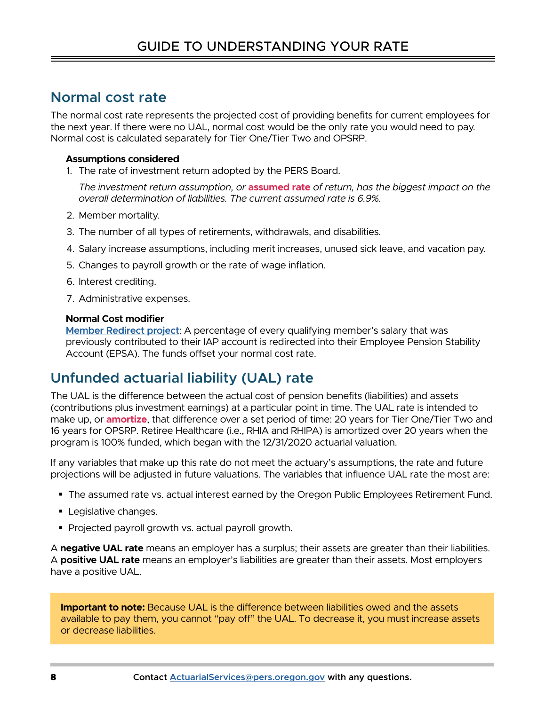### <span id="page-7-0"></span>**Normal cost rate**

The normal cost rate represents the projected cost of providing benefits for current employees for the next year. If there were no UAL, normal cost would be the only rate you would need to pay. Normal cost is calculated separately for Tier One/Tier Two and OPSRP.

### **Assumptions considered**

1. The rate of investment return adopted by the PERS Board.

The investment return assumption, or **assumed rate** of return, has the biggest impact on the *overall determination of liabilities. The current assumed rate is 6.9%.*

- 2. Member mortality.
- 3. The number of all types of retirements, withdrawals, and disabilities.
- 4. Salary increase assumptions, including merit increases, unused sick leave, and vacation pay.
- 5. Changes to payroll growth or the rate of wage inflation.
- 6. Interest crediting.
- 7. Administrative expenses.

### **Normal Cost modifier**

**[Member Redirect project](https://www.oregon.gov/pers/EMP/Pages/SB1049.aspx#MemberRedirect)**: A percentage of every qualifying member's salary that was previously contributed to their IAP account is redirected into their Employee Pension Stability Account (EPSA). The funds offset your normal cost rate.

### **Unfunded actuarial liability (UAL) rate**

The UAL is the difference between the actual cost of pension benefits (liabilities) and assets (contributions plus investment earnings) at a particular point in time. The UAL rate is intended to make up, or **amortize**, that difference over a set period of time: 20 years for Tier One/Tier Two and 16 years for OPSRP. Retiree Healthcare (i.e., RHIA and RHIPA) is amortized over 20 years when the program is 100% funded, which began with the 12/31/2020 actuarial valuation.

If any variables that make up this rate do not meet the actuary's assumptions, the rate and future projections will be adjusted in future valuations. The variables that influence UAL rate the most are:

- The assumed rate vs. actual interest earned by the Oregon Public Employees Retirement Fund.
- **Legislative changes.**
- Projected payroll growth vs. actual payroll growth.

A **negative UAL rate** means an employer has a surplus; their assets are greater than their liabilities. A **positive UAL rate** means an employer's liabilities are greater than their assets. Most employers have a positive UAL.

**Important to note:** Because UAL is the difference between liabilities owed and the assets available to pay them, you cannot "pay off" the UAL. To decrease it, you must increase assets or decrease liabilities.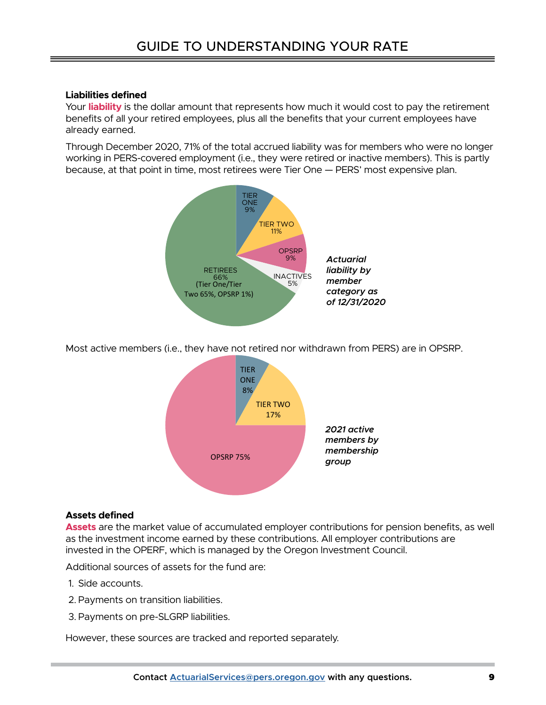### **Liabilities defined**

Yourliability is the dollar amount that represents how much it would cost to pay the retirement benefits of all your retired employees, plus all the benefits that your current employees have already earned.

Through December 2020, 71% of the total accrued liability was for members who were no longer working in PERS-covered employment (i.e., they were retired or inactive members). This is partly because, at that point in time, most retirees were Tier One — PERS' most expensive plan.



Most active members (i.e., they have not retired nor withdrawn from PERS) are in OPSRP.



### **Assets defined**

[Assets](#page-15-6) are the market value of accumulated employer contributions for pension benefits, as well as the investment income earned by these contributions. All employer contributions are invested in the OPERF, which is managed by the Oregon Investment Council.

Additional sources of assets for the fund are:

- 1. Side accounts.
- 2. Payments on transition liabilities.
- 3. Payments on pre-SLGRP liabilities.

However, these sources are tracked and reported separately.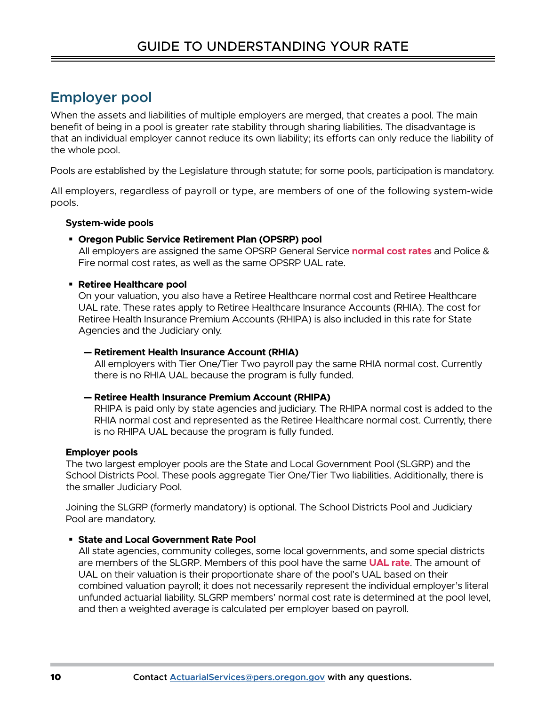## <span id="page-9-0"></span>**Employer pool**

When the assets and liabilities of multiple employers are merged, that creates a pool. The main benefit of being in a pool is greater rate stability through sharing liabilities. The disadvantage is that an individual employer cannot reduce its own liability; its efforts can only reduce the liability of the whole pool.

Pools are established by the Legislature through statute; for some pools, participation is mandatory.

All employers, regardless of payroll or type, are members of one of the following system-wide pools.

### **System-wide pools**

### **Oregon Public Service Retirement Plan (OPSRP) pool**

All employers are assigned the same OPSRP General Service **normal cost rates** and Police & Fire normal cost rates, as well as the same OPSRP UAL rate.

### **Retiree Healthcare pool**

On your valuation, you also have a Retiree Healthcare normal cost and Retiree Healthcare UAL rate. These rates apply to Retiree Healthcare Insurance Accounts (RHIA). The cost for Retiree Health Insurance Premium Accounts (RHIPA) is also included in this rate for State Agencies and the Judiciary only.

#### **— Retirement Health Insurance Account (RHIA)**

All employers with Tier One/Tier Two payroll pay the same RHIA normal cost. Currently there is no RHIA UAL because the program is fully funded.

### **— Retiree Health Insurance Premium Account (RHIPA)**

RHIPA is paid only by state agencies and judiciary. The RHIPA normal cost is added to the RHIA normal cost and represented as the Retiree Healthcare normal cost. Currently, there is no RHIPA UAL because the program is fully funded.

### **Employer pools**

The two largest employer pools are the State and Local Government Pool (SLGRP) and the School Districts Pool. These pools aggregate Tier One/Tier Two liabilities. Additionally, there is the smaller Judiciary Pool.

Joining the SLGRP (formerly mandatory) is optional. The School Districts Pool and Judiciary Pool are mandatory.

### **State and Local Government Rate Pool**

All state agencies, community colleges, some local governments, and some special districts are members of the SLGRP. Members of this pool have the same **UAL rate**. The amount of UAL on their valuation is their proportionate share of the pool's UAL based on their combined valuation payroll; it does not necessarily represent the individual employer's literal unfunded actuarial liability. SLGRP members' normal cost rate is determined at the pool level, and then a weighted average is calculated per employer based on payroll.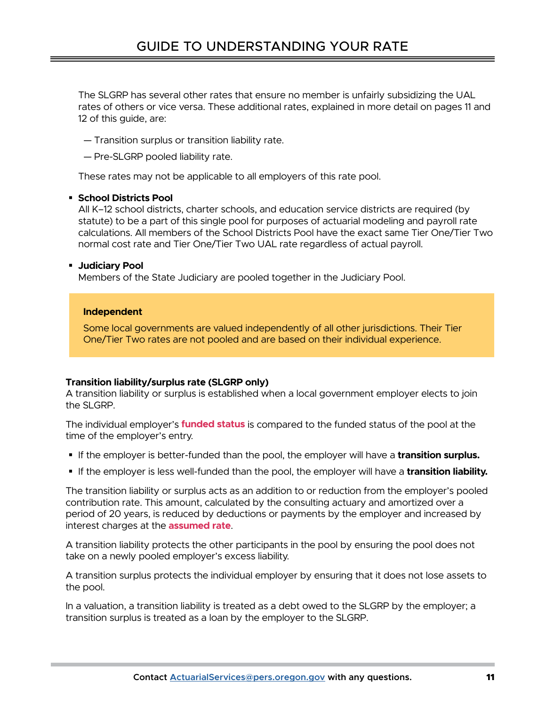The SLGRP has several other rates that ensure no member is unfairly subsidizing the UAL rates of others or vice versa. These additional rates, explained in more detail on pages 11 and 12 of this guide, are:

— Transition surplus or transition liability rate.

— Pre-SLGRP pooled liability rate.

These rates may not be applicable to all employers of this rate pool.

#### **School Districts Pool**

All K–12 school districts, charter schools, and education service districts are required (by statute) to be a part of this single pool for purposes of actuarial modeling and payroll rate calculations. All members of the School Districts Pool have the exact same Tier One/Tier Two normal cost rate and Tier One/Tier Two UAL rate regardless of actual payroll.

#### **Judiciary Pool**

Members of the State Judiciary are pooled together in the Judiciary Pool.

#### **Independent**

Some local governments are valued independently of all other jurisdictions. Their Tier One/Tier Two rates are not pooled and are based on their individual experience.

### **Transition liability/surplus rate (SLGRP only)**

A transition liability or surplus is established when a local government employer elects to join the SLGRP.

The individual employer's **funded status** is compared to the funded status of the pool at the time of the employer's entry.

- If the employer is better-funded than the pool, the employer will have a **transition surplus.**
- If the employer is less well-funded than the pool, the employer will have a **transition liability.**

The transition liability or surplus acts as an addition to or reduction from the employer's pooled contribution rate. This amount, calculated by the consulting actuary and amortized over a period of 20 years, is reduced by deductions or payments by the employer and increased by interest charges at the **[assumed rate](#page-15-4)**.

A transition liability protects the other participants in the pool by ensuring the pool does not take on a newly pooled employer's excess liability.

A transition surplus protects the individual employer by ensuring that it does not lose assets to the pool.

In a valuation, a transition liability is treated as a debt owed to the SLGRP by the employer; a transition surplus is treated as a loan by the employer to the SLGRP.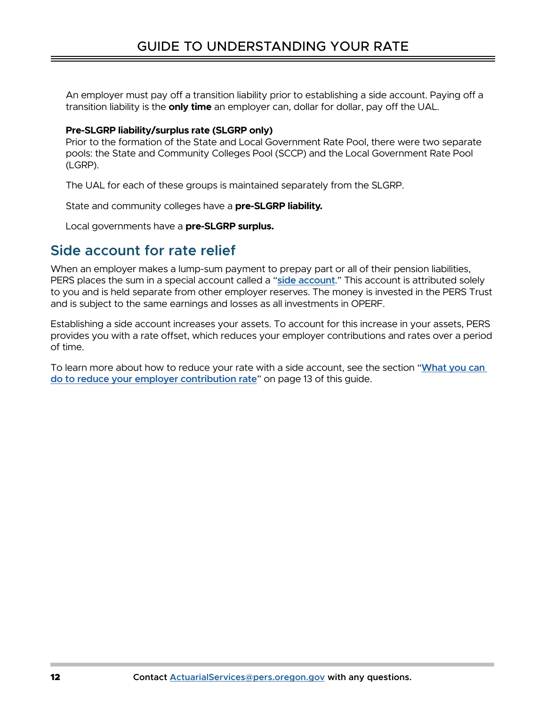<span id="page-11-0"></span>An employer must pay off a transition liability prior to establishing a side account. Paying off a transition liability is the **only time** an employer can, dollar for dollar, pay off the UAL.

### **Pre-SLGRP liability/surplus rate (SLGRP only)**

Prior to the formation of the State and Local Government Rate Pool, there were two separate pools: the State and Community Colleges Pool (SCCP) and the Local Government Rate Pool (LGRP).

The UAL for each of these groups is maintained separately from the SLGRP.

State and community colleges have a **pre-SLGRP liability.**

Local governments have a **pre-SLGRP surplus.**

### **Side account for rate relief**

When an employer makes a lump-sum payment to prepay part or all of their pension liabilities, PERS places the sum in a special account called a "**[side account](https://www.oregon.gov/PERS/Pages/General-Information/Side-Accounts-by-the-Numbers.aspx)**." This account is attributed solely to you and is held separate from other employer reserves. The money is invested in the PERS Trust and is subject to the same earnings and losses as all investments in OPERF.

Establishing a side account increases your assets. To account for this increase in your assets, PERS provides you with a rate offset, which reduces your employer contributions and rates over a period of time.

To learn more about how to reduce your rate with a side account, see the section "**[What you can](#page-12-1)  [do to reduce your employer contribution rate](#page-12-1)**" on page 13 of this guide.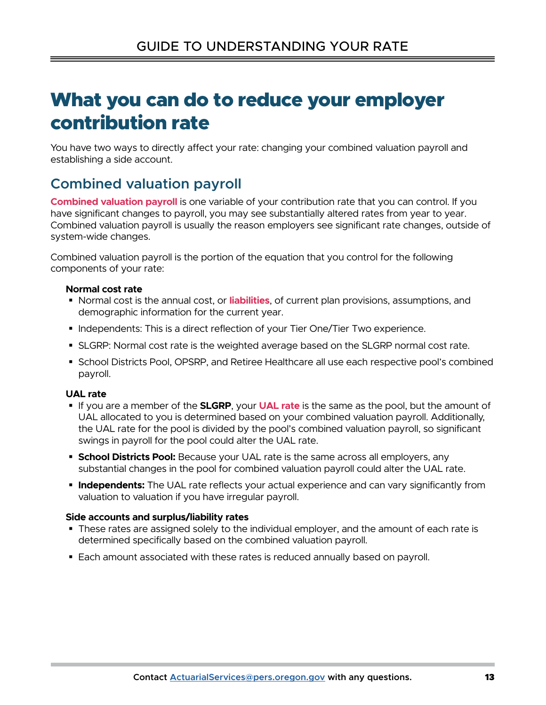# <span id="page-12-1"></span><span id="page-12-0"></span>What you can do to reduce your employer contribution rate

You have two ways to directly affect your rate: changing your combined valuation payroll and establishing a side account.

## **Combined valuation payroll**

**[Combined valuation payroll](#page-15-3)** is one variable of your contribution rate that you can control. If you have significant changes to payroll, you may see substantially altered rates from year to year. Combined valuation payroll is usually the reason employers see significant rate changes, outside of system-wide changes.

Combined valuation payroll is the portion of the equation that you control for the following components of your rate:

### **Normal cost rate**

- Normal cost is the annual cost, or liabilities, of current plan provisions, assumptions, and demographic information for the current year.
- Independents: This is a direct reflection of your Tier One/Tier Two experience.
- SLGRP: Normal cost rate is the weighted average based on the SLGRP normal cost rate.
- **School Districts Pool, OPSRP, and Retiree Healthcare all use each respective pool's combined** payroll. **[liabilities](#page-16-2)**, of cur<br>
current year.<br>
ection of your Tian<br>
ighted average<br>
Retiree Healthc.<br>
.<br>
.<br>
your **[UAL rate](#page-17-0)**

### **UAL rate**

- If you are a member of the **SLGRP**, your **UAL rate** is the same as the pool, but the amount of UAL allocated to you is determined based on your combined valuation payroll. Additionally, the UAL rate for the pool is divided by the pool's combined valuation payroll, so significant swings in payroll for the pool could alter the UAL rate.
- **School Districts Pool:** Because your UAL rate is the same across all employers, any substantial changes in the pool for combined valuation payroll could alter the UAL rate.
- **Independents:** The UAL rate reflects your actual experience and can vary significantly from valuation to valuation if you have irregular payroll.

### **Side accounts and surplus/liability rates**

- **These rates are assigned solely to the individual employer, and the amount of each rate is** determined specifically based on the combined valuation payroll.
- Each amount associated with these rates is reduced annually based on payroll.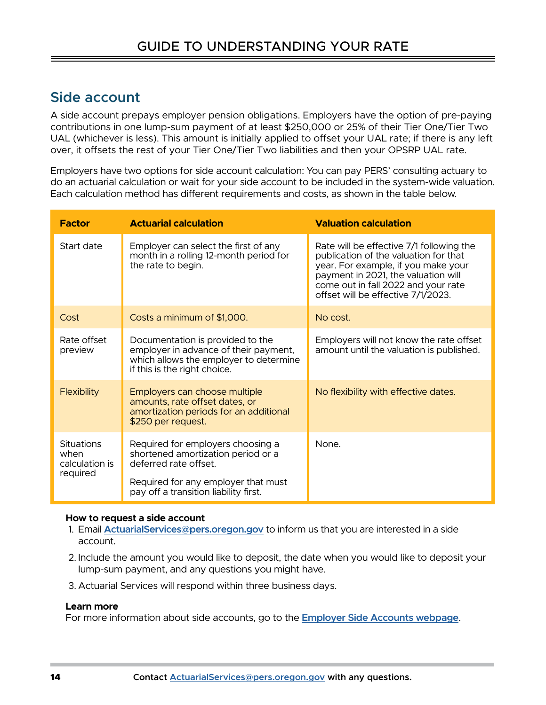### <span id="page-13-0"></span>**Side account**

A side account prepays employer pension obligations. Employers have the option of pre-paying contributions in one lump-sum payment of at least \$250,000 or 25% of their Tier One/Tier Two UAL (whichever is less). This amount is initially applied to offset your UAL rate; if there is any left over, it offsets the rest of your Tier One/Tier Two liabilities and then your OPSRP UAL rate.

Employers have two options for side account calculation: You can pay PERS' consulting actuary to do an actuarial calculation or wait for your side account to be included in the system-wide valuation. Each calculation method has different requirements and costs, as shown in the table below.

| <b>Factor</b>                                    | <b>Actuarial calculation</b>                                                                                                                                                     | <b>Valuation calculation</b>                                                                                                                                                                                                                 |  |
|--------------------------------------------------|----------------------------------------------------------------------------------------------------------------------------------------------------------------------------------|----------------------------------------------------------------------------------------------------------------------------------------------------------------------------------------------------------------------------------------------|--|
| Start date                                       | Employer can select the first of any<br>month in a rolling 12-month period for<br>the rate to begin.                                                                             | Rate will be effective 7/1 following the<br>publication of the valuation for that<br>year. For example, if you make your<br>payment in 2021, the valuation will<br>come out in fall 2022 and your rate<br>offset will be effective 7/1/2023. |  |
| Cost                                             | Costs a minimum of \$1,000.                                                                                                                                                      | No cost.                                                                                                                                                                                                                                     |  |
| Rate offset<br>preview                           | Documentation is provided to the<br>employer in advance of their payment,<br>which allows the employer to determine<br>if this is the right choice.                              | Employers will not know the rate offset<br>amount until the valuation is published.                                                                                                                                                          |  |
| <b>Flexibility</b>                               | Employers can choose multiple<br>amounts, rate offset dates, or<br>amortization periods for an additional<br>\$250 per request.                                                  | No flexibility with effective dates.                                                                                                                                                                                                         |  |
| Situations<br>when<br>calculation is<br>required | Required for employers choosing a<br>shortened amortization period or a<br>deferred rate offset.<br>Required for any employer that must<br>pay off a transition liability first. | None.                                                                                                                                                                                                                                        |  |

#### **How to request a side account**

- 1. Email **[ActuarialServices@pers.oregon.gov](mailto:ActuarialServices%40pers.oregon.gov?subject=)** to inform us that you are interested in a side account.
- 2. Include the amount you would like to deposit, the date when you would like to deposit your lump-sum payment, and any questions you might have.
- 3. Actuarial Services will respond within three business days.

#### **Learn more**

For more information about side accounts, go to the **[Employer Side Accounts webpage](https://www.oregon.gov/pers/Pages/General-Information/Side-Accounts-by-the-Numbers.aspx)**.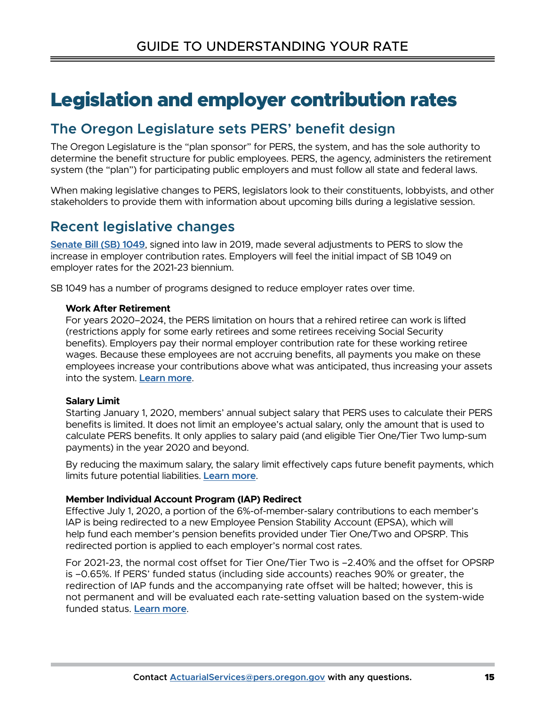# <span id="page-14-0"></span>Legislation and employer contribution rates

### **The Oregon Legislature sets PERS' benefit design**

The Oregon Legislature is the "plan sponsor" for PERS, the system, and has the sole authority to determine the benefit structure for public employees. PERS, the agency, administers the retirement system (the "plan") for participating public employers and must follow all state and federal laws.

When making legislative changes to PERS, legislators look to their constituents, lobbyists, and other stakeholders to provide them with information about upcoming bills during a legislative session.

### **Recent legislative changes**

**[Senate Bill \(SB\) 1049](https://www.oregon.gov/pers/EMP/Pages/SB1049.aspx)**, signed into law in 2019, made several adjustments to PERS to slow the increase in employer contribution rates. Employers will feel the initial impact of SB 1049 on employer rates for the 2021-23 biennium.

SB 1049 has a number of programs designed to reduce employer rates over time.

#### **Work After Retirement**

For years 2020–2024, the PERS limitation on hours that a rehired retiree can work is lifted (restrictions apply for some early retirees and some retirees receiving Social Security benefits). Employers pay their normal employer contribution rate for these working retiree wages. Because these employees are not accruing benefits, all payments you make on these employees increase your contributions above what was anticipated, thus increasing your assets into the system. **[Learn more](https://www.oregon.gov/pers/EMP/Pages/Work-After-Retirement.aspx)**.

### **Salary Limit**

Starting January 1, 2020, members' annual subject salary that PERS uses to calculate their PERS benefits is limited. It does not limit an employee's actual salary, only the amount that is used to calculate PERS benefits. It only applies to salary paid (and eligible Tier One/Tier Two lump-sum payments) in the year 2020 and beyond.

By reducing the maximum salary, the salary limit effectively caps future benefit payments, which limits future potential liabilities. **[Learn more](https://www.oregon.gov/pers/EMP/Pages/SB1049.aspx#Salary)**.

### **Member Individual Account Program (IAP) Redirect**

Effective July 1, 2020, a portion of the 6%-of-member-salary contributions to each member's IAP is being redirected to a new Employee Pension Stability Account (EPSA), which will help fund each member's pension benefits provided under Tier One/Two and OPSRP. This redirected portion is applied to each employer's normal cost rates.

For 2021-23, the normal cost offset for Tier One/Tier Two is –2.40% and the offset for OPSRP is –0.65%. If PERS' funded status (including side accounts) reaches 90% or greater, the redirection of IAP funds and the accompanying rate offset will be halted; however, this is not permanent and will be evaluated each rate-setting valuation based on the system-wide funded status. **[Learn more](https://www.oregon.gov/pers/EMP/Pages/SB1049.aspx#MemberRedirect)**.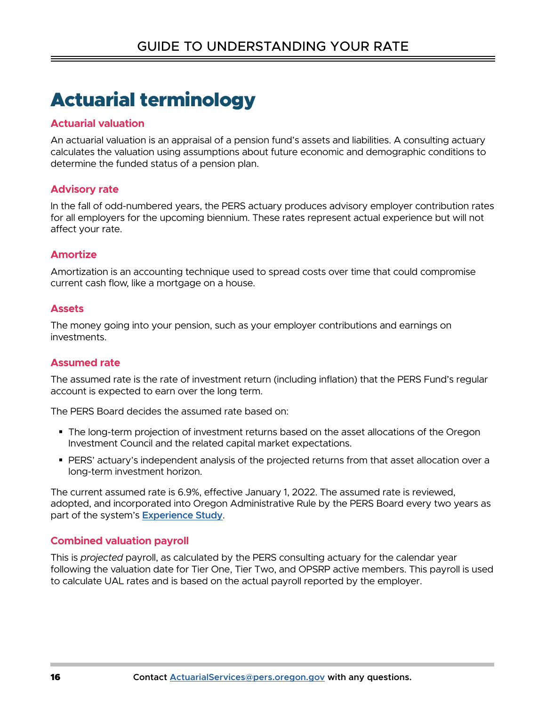# <span id="page-15-0"></span>Actuarial terminology

### <span id="page-15-1"></span>**Actuarial valuation**

An actuarial valuation is an appraisal of a pension fund's assets and liabilities. A consulting actuary calculates the valuation using assumptions about future economic and demographic conditions to determine the funded status of a pension plan.

### <span id="page-15-2"></span>**Advisory rate**

In the fall of odd-numbered years, the PERS actuary produces advisory employer contribution rates for all employers for the upcoming biennium. These rates represent actual experience but will not affect your rate.

### <span id="page-15-5"></span>**Amortize**

Amortization is an accounting technique used to spread costs over time that could compromise current cash flow, like a mortgage on a house.

### <span id="page-15-6"></span>**Assets**

The money going into your pension, such as your employer contributions and earnings on investments.

### <span id="page-15-4"></span>**Assumed rate**

The assumed rate is the rate of investment return (including inflation) that the PERS Fund's regular account is expected to earn over the long term.

The PERS Board decides the assumed rate based on:

- The long-term projection of investment returns based on the asset allocations of the Oregon Investment Council and the related capital market expectations.
- **PERS' actuary's independent analysis of the projected returns from that asset allocation over a** long-term investment horizon.

The current assumed rate is 6.9%, effective January 1, 2022. The assumed rate is reviewed, adopted, and incorporated into Oregon Administrative Rule by the PERS Board every two years as part of the system's **[Experience Study](https://www.oregon.gov/pers/Documents/Financials/Actuarial/2021/2020-Experience-Study.pdf)**.

### <span id="page-15-3"></span>**Combined valuation payroll**

This is *projected* payroll, as calculated by the PERS consulting actuary for the calendar year following the valuation date for Tier One, Tier Two, and OPSRP active members. This payroll is used to calculate UAL rates and is based on the actual payroll reported by the employer.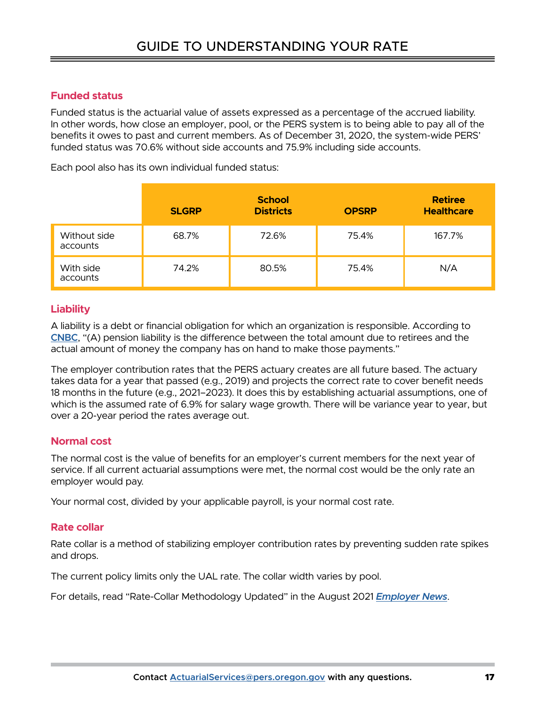### <span id="page-16-0"></span>**Funded status**

Funded status is the actuarial value of assets expressed as a percentage of the accrued liability. In other words, how close an employer, pool, or the PERS system is to being able to pay all of the benefits it owes to past and current members. As of December 31, 2020, the system-wide PERS' funded status was 70.6% without side accounts and 75.9% including side accounts.

Each pool also has its own individual funded status:

|                          | <b>SLGRP</b> | <b>School</b><br><b>Districts</b> | <b>OPSRP</b> | <b>Retiree</b><br><b>Healthcare</b> |
|--------------------------|--------------|-----------------------------------|--------------|-------------------------------------|
| Without side<br>accounts | 68.7%        | 72.6%                             | 75.4%        | 167.7%                              |
| With side<br>accounts    | 74.2%        | 80.5%                             | 75.4%        | N/A                                 |

### <span id="page-16-2"></span>**Liability**

A liability is a debt or financial obligation for which an organization is responsible. According to **[CNBC](https://www.cnbc.com/id/100959648)**, "(A) pension liability is the difference between the total amount due to retirees and the actual amount of money the company has on hand to make those payments."

The employer contribution rates that the PERS actuary creates are all future based. The actuary takes data for a year that passed (e.g., 2019) and projects the correct rate to cover benefit needs 18 months in the future (e.g., 2021–2023). It does this by establishing actuarial assumptions, one of which is the assumed rate of 6.9% for salary wage growth. There will be variance year to year, but over a 20-year period the rates average out.

### **Normal cost**

The normal cost is the value of benefits for an employer's current members for the next year of service. If all current actuarial assumptions were met, the normal cost would be the only rate an employer would pay.

Your normal cost, divided by your applicable payroll, is your normal cost rate.

### <span id="page-16-1"></span>**Rate collar**

Rate collar is a method of stabilizing employer contribution rates by preventing sudden rate spikes and drops.

The current policy limits only the UAL rate. The collar width varies by pool.

For details, read "Rate-Collar Methodology Updated" in the August 2021 *[Employer News](https://www.oregon.gov/pers/EMP/Documents/Employer-Publications/Employer-Newsletters/2021/Employer-Newsletter-August-2021.pdf)*.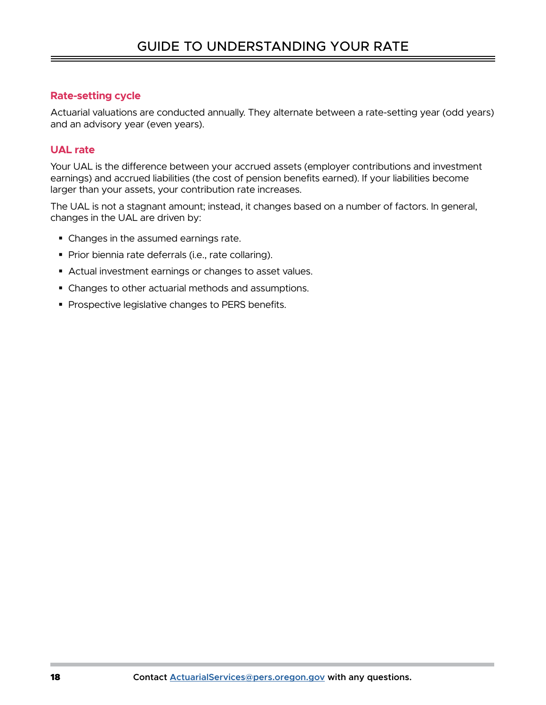### **Rate-setting cycle**

Actuarial valuations are conducted annually. They alternate between a rate-setting year (odd years) and an advisory year (even years).

### <span id="page-17-0"></span>**UAL rate**

Your UAL is the difference between your accrued assets (employer contributions and investment earnings) and accrued liabilities (the cost of pension benefits earned). If your liabilities become larger than your assets, your contribution rate increases.

The UAL is not a stagnant amount; instead, it changes based on a number of factors. In general, changes in the UAL are driven by:

- Changes in the assumed earnings rate.
- Prior biennia rate deferrals (i.e., rate collaring).
- Actual investment earnings or changes to asset values.
- Changes to other actuarial methods and assumptions.
- **Prospective legislative changes to PERS benefits.**